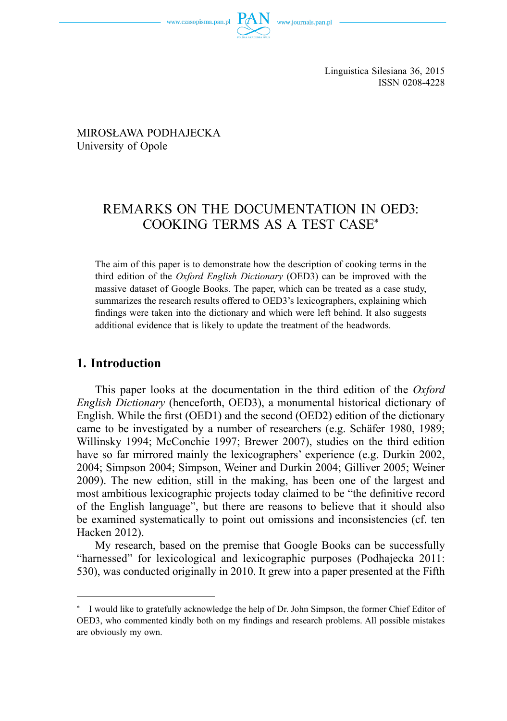



MIROSŁAWA PODHAJECKA University of Opole

# REMARKS ON THE DOCUMENTATION IN OED3: COOKING TERMS AS A TEST CASE\*

The aim of this paper is to demonstrate how the description of cooking terms in the third edition of the *Oxford English Dictionary* (OED3) can be improved with the massive dataset of Google Books. The paper, which can be treated as a case study, summarizes the research results offered to OED3's lexicographers, explaining which findings were taken into the dictionary and which were left behind. It also suggests additional evidence that is likely to update the treatment of the headwords.

## **1. Introduction**

This paper looks at the documentation in the third edition of the *Oxford English Dictionary* (henceforth, OED3), a monumental historical dictionary of English. While the first (OED1) and the second (OED2) edition of the dictionary came to be investigated by a number of researchers (e.g. Schäfer 1980, 1989; Willinsky 1994; McConchie 1997; Brewer 2007), studies on the third edition have so far mirrored mainly the lexicographers' experience (e.g. Durkin 2002, 2004; Simpson 2004; Simpson, Weiner and Durkin 2004; Gilliver 2005; Weiner 2009). The new edition, still in the making, has been one of the largest and most ambitious lexicographic projects today claimed to be "the definitive record of the English language", but there are reasons to believe that it should also be examined systematically to point out omissions and inconsistencies (cf. ten Hacken 2012).

My research, based on the premise that Google Books can be successfully "harnessed" for lexicological and lexicographic purposes (Podhajecka 2011: 530), was conducted originally in 2010. It grew into a paper presented at the Fifth

<sup>\*</sup> I would like to gratefully acknowledge the help of Dr. John Simpson, the former Chief Editor of OED3, who commented kindly both on my findings and research problems. All possible mistakes are obviously my own.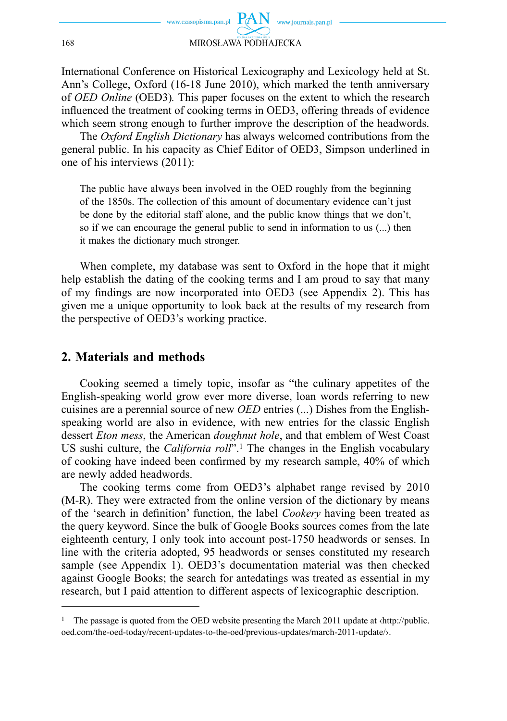International Conference on Historical Lexicography and Lexicology held at St. Ann's College, Oxford (16-18 June 2010), which marked the tenth anniversary of *OED Online* (OED3)*.* This paper focuses on the extent to which the research influenced the treatment of cooking terms in OED3, offering threads of evidence which seem strong enough to further improve the description of the headwords.

The *Oxford English Dictionary* has always welcomed contributions from the general public. In his capacity as Chief Editor of OED3, Simpson underlined in one of his interviews (2011):

The public have always been involved in the OED roughly from the beginning of the 1850s. The collection of this amount of documentary evidence can't just be done by the editorial staff alone, and the public know things that we don't, so if we can encourage the general public to send in information to us (...) then it makes the dictionary much stronger.

When complete, my database was sent to Oxford in the hope that it might help establish the dating of the cooking terms and I am proud to say that many of my findings are now incorporated into OED3 (see Appendix 2). This has given me a unique opportunity to look back at the results of my research from the perspective of OED3's working practice.

# **2. Materials and methods**

Cooking seemed a timely topic, insofar as "the culinary appetites of the English-speaking world grow ever more diverse, loan words referring to new cuisines are a perennial source of new *OED* entries (...) Dishes from the Englishspeaking world are also in evidence, with new entries for the classic English dessert *Eton mess*, the American *doughnut hole*, and that emblem of West Coast US sushi culture, the *California roll*".1 The changes in the English vocabulary of cooking have indeed been confirmed by my research sample, 40% of which are newly added headwords.

The cooking terms come from OED3's alphabet range revised by 2010 (M-R). They were extracted from the online version of the dictionary by means of the 'search in definition' function, the label *Cookery* having been treated as the query keyword. Since the bulk of Google Books sources comes from the late eighteenth century, I only took into account post-1750 headwords or senses. In line with the criteria adopted, 95 headwords or senses constituted my research sample (see Appendix 1). OED3's documentation material was then checked against Google Books; the search for antedatings was treated as essential in my research, but I paid attention to different aspects of lexicographic description.

<sup>&</sup>lt;sup>1</sup> The passage is quoted from the OED website presenting the March 2011 update at  $\langle$ http://public. oed.com/the-oed-today/recent-updates-to-the-oed/previous-updates/march-2011-update/›.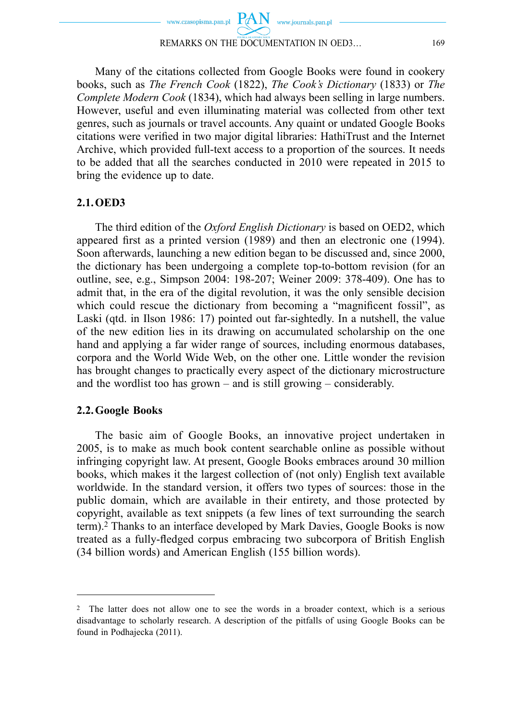

Many of the citations collected from Google Books were found in cookery books, such as *The French Cook* (1822), *The Cook's Dictionary* (1833) or *The Complete Modern Cook* (1834), which had always been selling in large numbers. However, useful and even illuminating material was collected from other text genres, such as journals or travel accounts. Any quaint or undated Google Books citations were verified in two major digital libraries: HathiTrust and the Internet Archive, which provided full-text access to a proportion of the sources. It needs to be added that all the searches conducted in 2010 were repeated in 2015 to bring the evidence up to date.

## **2.1. OED3**

The third edition of the *Oxford English Dictionary* is based on OED2, which appeared first as a printed version (1989) and then an electronic one (1994). Soon afterwards, launching a new edition began to be discussed and, since 2000, the dictionary has been undergoing a complete top-to-bottom revision (for an outline, see, e.g., Simpson 2004: 198-207; Weiner 2009: 378-409). One has to admit that, in the era of the digital revolution, it was the only sensible decision which could rescue the dictionary from becoming a "magnificent fossil", as Laski (qtd. in Ilson 1986: 17) pointed out far-sightedly. In a nutshell, the value of the new edition lies in its drawing on accumulated scholarship on the one hand and applying a far wider range of sources, including enormous databases, corpora and the World Wide Web, on the other one. Little wonder the revision has brought changes to practically every aspect of the dictionary microstructure and the wordlist too has grown  $-$  and is still growing  $-$  considerably.

## **2.2. Google Books**

The basic aim of Google Books, an innovative project undertaken in 2005, is to make as much book content searchable online as possible without infringing copyright law. At present, Google Books embraces around 30 million books, which makes it the largest collection of (not only) English text available worldwide. In the standard version, it offers two types of sources: those in the public domain, which are available in their entirety, and those protected by copyright, available as text snippets (a few lines of text surrounding the search term).2 Thanks to an interface developed by Mark Davies, Google Books is now treated as a fully-fledged corpus embracing two subcorpora of British English (34 billion words) and American English (155 billion words).

<sup>2</sup> The latter does not allow one to see the words in a broader context, which is a serious disadvantage to scholarly research. A description of the pitfalls of using Google Books can be found in Podhajecka (2011).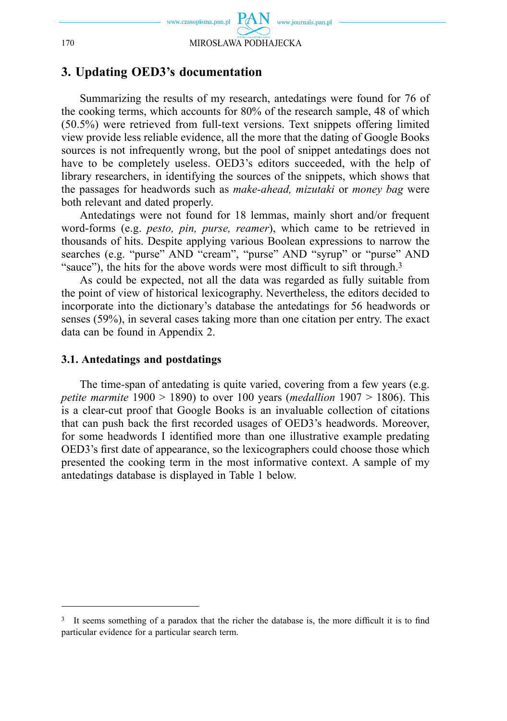

# **3. Updating OED3's documentation**

Summarizing the results of my research, antedatings were found for 76 of the cooking terms, which accounts for 80% of the research sample, 48 of which (50.5%) were retrieved from full-text versions. Text snippets offering limited view provide less reliable evidence, all the more that the dating of Google Books sources is not infrequently wrong, but the pool of snippet antedatings does not have to be completely useless. OED3's editors succeeded, with the help of library researchers, in identifying the sources of the snippets, which shows that the passages for headwords such as *make-ahead, mizutaki* or *money bag* were both relevant and dated properly.

Antedatings were not found for 18 lemmas, mainly short and/or frequent word-forms (e.g. *pesto, pin, purse, reamer*), which came to be retrieved in thousands of hits. Despite applying various Boolean expressions to narrow the searches (e.g. "purse" AND "cream", "purse" AND "syrup" or "purse" AND "sauce"), the hits for the above words were most difficult to sift through. $3$ 

As could be expected, not all the data was regarded as fully suitable from the point of view of historical lexicography. Nevertheless, the editors decided to incorporate into the dictionary's database the antedatings for 56 headwords or senses (59%), in several cases taking more than one citation per entry. The exact data can be found in Appendix 2.

#### **3.1. Antedatings and postdatings**

The time-span of antedating is quite varied, covering from a few years (e.g. *petite marmite* 1900 > 1890) to over 100 years (*medallion* 1907 > 1806). This is a clear-cut proof that Google Books is an invaluable collection of citations that can push back the first recorded usages of OED3's headwords. Moreover, for some headwords I identified more than one illustrative example predating OED3's first date of appearance, so the lexicographers could choose those which presented the cooking term in the most informative context. A sample of my antedatings database is displayed in Table 1 below.

<sup>&</sup>lt;sup>3</sup> It seems something of a paradox that the richer the database is, the more difficult it is to find particular evidence for a particular search term.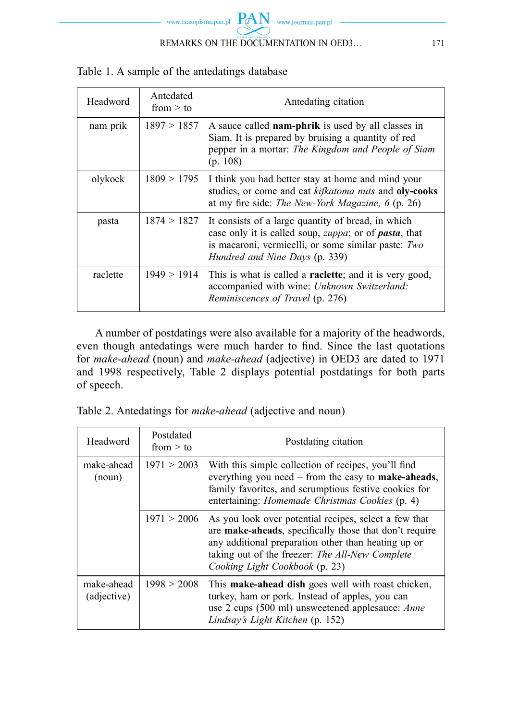| Headword | Antedated<br>from $>$ to | Antedating citation                                                                                                                                                                                                  |
|----------|--------------------------|----------------------------------------------------------------------------------------------------------------------------------------------------------------------------------------------------------------------|
| nam prik | 1897 > 1857              | A sauce called nam-phrik is used by all classes in<br>Siam. It is prepared by bruising a quantity of red<br>pepper in a mortar: The Kingdom and People of Siam<br>(p. 108)                                           |
| olykoek  | 1809 > 1795              | I think you had better stay at home and mind your<br>studies, or come and eat kifkatoma nuts and oly-cooks<br>at my fire side: <i>The New-York Magazine</i> , 6 (p. 26)                                              |
| pasta    | 1874 > 1827              | It consists of a large quantity of bread, in which<br>case only it is called soup, <i>zuppa</i> ; or of <i>pasta</i> , that<br>is macaroni, vermicelli, or some similar paste: Two<br>Hundred and Nine Days (p. 339) |
| raclette | 1949 > 1914              | This is what is called a <b>raclette</b> ; and it is very good,<br>accompanied with wine: Unknown Switzerland:<br>Reminiscences of Travel (p. 276)                                                                   |

Table 1. A sample of the antedatings database

A number of postdatings were also available for a majority of the headwords, even though antedatings were much harder to find. Since the last quotations for *make-ahead* (noun) and *make-ahead* (adjective) in OED3 are dated to 1971 and 1998 respectively, Table 2 displays potential postdatings for both parts of speech.

| Table 2. Antedatings for make-ahead (adjective and noun) |  |  |  |  |  |  |
|----------------------------------------------------------|--|--|--|--|--|--|
|----------------------------------------------------------|--|--|--|--|--|--|

| Headword                  | Postdated<br>from $>$ to | Postdating citation                                                                                                                                                                                                                                                |
|---------------------------|--------------------------|--------------------------------------------------------------------------------------------------------------------------------------------------------------------------------------------------------------------------------------------------------------------|
| make-ahead<br>(noun)      | 1971 > 2003              | With this simple collection of recipes, you'll find<br>everything you need – from the easy to <b>make-aheads</b> ,<br>family favorites, and scrumptious festive cookies for<br>entertaining: <i>Homemade Christmas Cookies</i> (p. 4)                              |
|                           | 1971 > 2006              | As you look over potential recipes, select a few that<br>are make-aheads, specifically those that don't require<br>any additional preparation other than heating up or<br>taking out of the freezer: <i>The All-New Complete</i><br>Cooking Light Cookbook (p. 23) |
| make-ahead<br>(adjective) | 1998 > 2008              | This make-ahead dish goes well with roast chicken,<br>turkey, ham or pork. Instead of apples, you can<br>use 2 cups (500 ml) unsweetened applesauce: Anne<br>Lindsay's Light Kitchen (p. 152)                                                                      |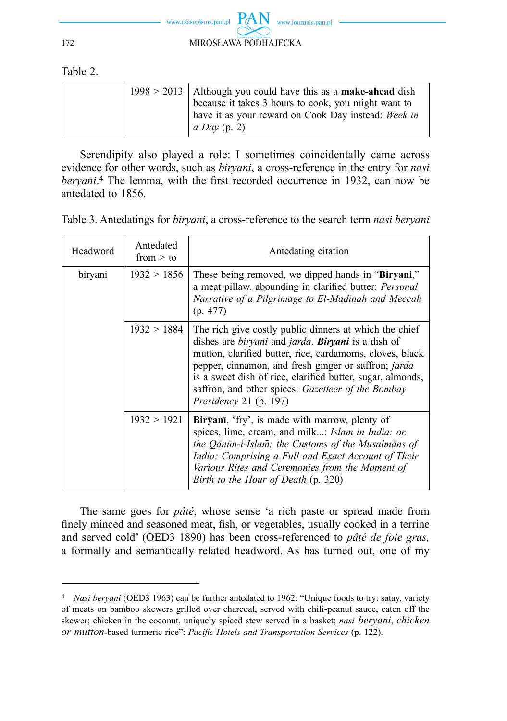

Table 2.

|  | $1998 > 2013$   Although you could have this as a <b>make-ahead</b> dish |
|--|--------------------------------------------------------------------------|
|  | because it takes 3 hours to cook, you might want to                      |
|  | have it as your reward on Cook Day instead: Week in                      |
|  | $ a\,Day$ (p. 2)                                                         |

Serendipity also played a role: I sometimes coincidentally came across evidence for other words, such as *biryani*, a cross-reference in the entry for *nasi beryani*.<sup>4</sup> The lemma, with the first recorded occurrence in 1932, can now be antedated to 1856.

| Table 3. Antedatings for <i>biryani</i> , a cross-reference to the search term <i>nasi beryani</i> |  |  |
|----------------------------------------------------------------------------------------------------|--|--|
|                                                                                                    |  |  |

| Headword | Antedated<br>from $>$ to | Antedating citation                                                                                                                                                                                                                                                                                                                                                                                         |
|----------|--------------------------|-------------------------------------------------------------------------------------------------------------------------------------------------------------------------------------------------------------------------------------------------------------------------------------------------------------------------------------------------------------------------------------------------------------|
| biryani  | 1932 > 1856              | These being removed, we dipped hands in "Birvani,"<br>a meat pillaw, abounding in clarified butter: <i>Personal</i><br>Narrative of a Pilgrimage to El-Madinah and Meccah<br>(p. 477)                                                                                                                                                                                                                       |
|          | 1932 > 1884              | The rich give costly public dinners at which the chief<br>dishes are <i>biryani</i> and <i>jarda</i> . <b>Biryani</b> is a dish of<br>mutton, clarified butter, rice, cardamoms, cloves, black<br>pepper, cinnamon, and fresh ginger or saffron; <i>jarda</i><br>is a sweet dish of rice, clarified butter, sugar, almonds,<br>saffron, and other spices: Gazetteer of the Bombay<br>Presidency 21 (p. 197) |
|          | 1932 > 1921              | <b>Biryani</b> , 'fry', is made with marrow, plenty of<br>spices, lime, cream, and milk: Islam in India: or,<br>the Qānūn-i-Islam; the Customs of the Musalmāns of<br>India; Comprising a Full and Exact Account of Their<br>Various Rites and Ceremonies from the Moment of<br>Birth to the Hour of Death (p. 320)                                                                                         |

The same goes for *pâté*, whose sense 'a rich paste or spread made from finely minced and seasoned meat, fish, or vegetables, usually cooked in a terrine and served cold' (OED3 1890) has been cross-referenced to *pâté de foie gras,*  a formally and semantically related headword. As has turned out, one of my

<sup>4</sup> *Nasi beryani* (OED3 1963) can be further antedated to 1962: "Unique foods to try: satay, variety of meats on bamboo skewers grilled over charcoal, served with chili-peanut sauce, eaten off the skewer; chicken in the coconut, uniquely spiced stew served in a basket; *nasi beryani*, *chicken or mutton*-based turmeric rice": *Pacific Hotels and Transportation Services* (p. 122).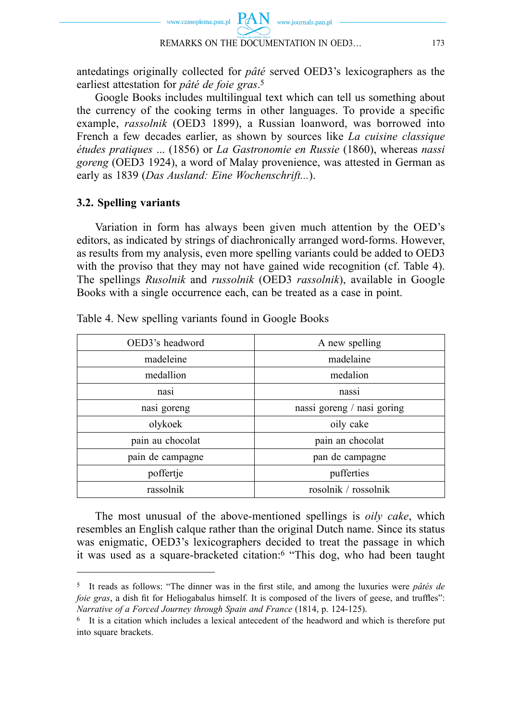

antedatings originally collected for *pâté* served OED3's lexicographers as the earliest attestation for *pâté de foie gras*. 5

Google Books includes multilingual text which can tell us something about the currency of the cooking terms in other languages. To provide a specific example, *rassolnik* (OED3 1899), a Russian loanword, was borrowed into French a few decades earlier, as shown by sources like *La cuisine classique études pratiques* ... (1856) or *La Gastronomie en Russie* (1860), whereas *nassi goreng* (OED3 1924), a word of Malay provenience, was attested in German as early as 1839 (*Das Ausland: Eine Wochenschrift...*).

## **3.2. Spelling variants**

Variation in form has always been given much attention by the OED's editors, as indicated by strings of diachronically arranged word-forms. However, as results from my analysis, even more spelling variants could be added to OED3 with the proviso that they may not have gained wide recognition (cf. Table 4). The spellings *Rusolnik* and *russolnik* (OED3 *rassolnik*), available in Google Books with a single occurrence each, can be treated as a case in point.

| OED3's headword  | A new spelling             |
|------------------|----------------------------|
| madeleine        | madelaine                  |
| medallion        | medalion                   |
| nasi             | nassi                      |
| nasi goreng      | nassi goreng / nasi goring |
| olykoek          | oily cake                  |
| pain au chocolat | pain an chocolat           |
| pain de campagne | pan de campagne            |
| poffertje        | pufferties                 |
| rassolnik        | rosolnik / rossolnik       |

Table 4. New spelling variants found in Google Books

The most unusual of the above-mentioned spellings is *oily cake*, which resembles an English calque rather than the original Dutch name. Since its status was enigmatic, OED3's lexicographers decided to treat the passage in which it was used as a square-bracketed citation:6 "This dog, who had been taught

<sup>&</sup>lt;sup>5</sup> It reads as follows: "The dinner was in the first stile, and among the luxuries were *pâtés de foie gras*, a dish fit for Heliogabalus himself. It is composed of the livers of geese, and truffles": *Narrative of a Forced Journey through Spain and France* (1814, p. 124-125).

<sup>6</sup> It is a citation which includes a lexical antecedent of the headword and which is therefore put into square brackets.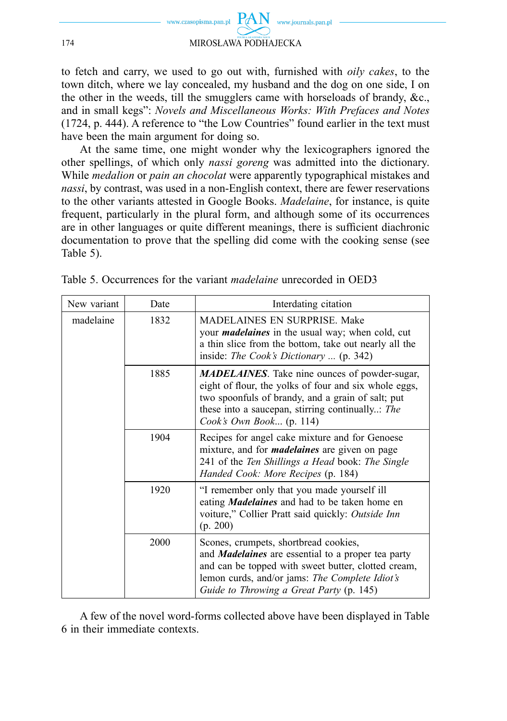

to fetch and carry, we used to go out with, furnished with *oily cakes*, to the town ditch, where we lay concealed, my husband and the dog on one side, I on the other in the weeds, till the smugglers came with horseloads of brandy, &c., and in small kegs": *Novels and Miscellaneous Works: With Prefaces and Notes* (1724, p. 444). A reference to "the Low Countries" found earlier in the text must have been the main argument for doing so.

At the same time, one might wonder why the lexicographers ignored the other spellings, of which only *nassi goreng* was admitted into the dictionary. While *medalion* or *pain an chocolat* were apparently typographical mistakes and *nassi*, by contrast, was used in a non-English context, there are fewer reservations to the other variants attested in Google Books. *Madelaine*, for instance, is quite frequent, particularly in the plural form, and although some of its occurrences are in other languages or quite different meanings, there is sufficient diachronic documentation to prove that the spelling did come with the cooking sense (see Table 5).

| New variant | Date | Interdating citation                                                                                                                                                                                                                                    |
|-------------|------|---------------------------------------------------------------------------------------------------------------------------------------------------------------------------------------------------------------------------------------------------------|
| madelaine   | 1832 | <b>MADELAINES EN SURPRISE. Make</b><br>your <i>madelaines</i> in the usual way; when cold, cut<br>a thin slice from the bottom, take out nearly all the<br>inside: The Cook's Dictionary  (p. 342)                                                      |
|             | 1885 | <b>MADELAINES</b> . Take nine ounces of powder-sugar,<br>eight of flour, the yolks of four and six whole eggs,<br>two spoonfuls of brandy, and a grain of salt; put<br>these into a saucepan, stirring continually The<br>Cook's Own Book (p. 114)      |
|             | 1904 | Recipes for angel cake mixture and for Genoese<br>mixture, and for <i>madelaines</i> are given on page<br>241 of the Ten Shillings a Head book: The Single<br>Handed Cook: More Recipes (p. 184)                                                        |
|             | 1920 | "I remember only that you made yourself ill<br>eating Madelaines and had to be taken home en<br>voiture," Collier Pratt said quickly: Outside Inn<br>(p. 200)                                                                                           |
|             | 2000 | Scones, crumpets, shortbread cookies,<br>and <b>Madelaines</b> are essential to a proper tea party<br>and can be topped with sweet butter, clotted cream,<br>lemon curds, and/or jams: The Complete Idiot's<br>Guide to Throwing a Great Party (p. 145) |

Table 5. Occurrences for the variant *madelaine* unrecorded in OED3

A few of the novel word-forms collected above have been displayed in Table 6 in their immediate contexts.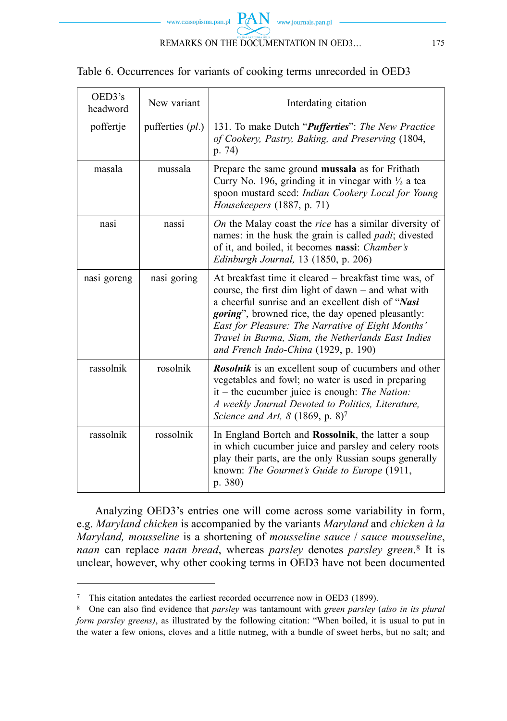

# Table 6. Occurrences for variants of cooking terms unrecorded in OED3

| OED3's<br>headword | New variant        | Interdating citation                                                                                                                                                                                                                                                                                                                                                              |
|--------------------|--------------------|-----------------------------------------------------------------------------------------------------------------------------------------------------------------------------------------------------------------------------------------------------------------------------------------------------------------------------------------------------------------------------------|
| poffertje          | pufferties $(pl.)$ | 131. To make Dutch " <i>Pufferties</i> ": The New Practice<br>of Cookery, Pastry, Baking, and Preserving (1804,<br>p.74                                                                                                                                                                                                                                                           |
| masala             | mussala            | Prepare the same ground mussala as for Frithath<br>Curry No. 196, grinding it in vinegar with $\frac{1}{2}$ a tea<br>spoon mustard seed: Indian Cookery Local for Young<br>Housekeepers (1887, p. 71)                                                                                                                                                                             |
| nasi               | nassi              | On the Malay coast the <i>rice</i> has a similar diversity of<br>names: in the husk the grain is called <i>padi</i> ; divested<br>of it, and boiled, it becomes nassi: Chamber's<br>Edinburgh Journal, 13 (1850, p. 206)                                                                                                                                                          |
| nasi goreng        | nasi goring        | At breakfast time it cleared – breakfast time was, of<br>course, the first dim light of dawn – and what with<br>a cheerful sunrise and an excellent dish of "Nasi<br><i>goring</i> ", browned rice, the day opened pleasantly:<br>East for Pleasure: The Narrative of Eight Months'<br>Travel in Burma, Siam, the Netherlands East Indies<br>and French Indo-China (1929, p. 190) |
| rassolnik          | rosolnik           | <b>Rosolnik</b> is an excellent soup of cucumbers and other<br>vegetables and fowl; no water is used in preparing<br>$it$ – the cucumber juice is enough: The Nation:<br>A weekly Journal Devoted to Politics, Literature,<br>Science and Art, $8(1869, p. 8)^7$                                                                                                                  |
| rassolnik          | rossolnik          | In England Bortch and <b>Rossolnik</b> , the latter a soup<br>in which cucumber juice and parsley and celery roots<br>play their parts, are the only Russian soups generally<br>known: The Gourmet's Guide to Europe (1911,<br>p. 380)                                                                                                                                            |

Analyzing OED3's entries one will come across some variability in form, e.g. *Maryland chicken* is accompanied by the variants *Maryland* and *chicken à la Maryland, mousseline* is a shortening of *mousseline sauce* / *sauce mousseline*, *naan* can replace *naan bread*, whereas *parsley* denotes *parsley green*.8 It is unclear, however, why other cooking terms in OED3 have not been documented

<sup>7</sup> This citation antedates the earliest recorded occurrence now in OED3 (1899).

<sup>&</sup>lt;sup>8</sup> One can also find evidence that *parsley* was tantamount with *green parsley* (*also in its plural form parsley greens)*, as illustrated by the following citation: "When boiled, it is usual to put in the water a few onions, cloves and a little nutmeg, with a bundle of sweet herbs, but no salt; and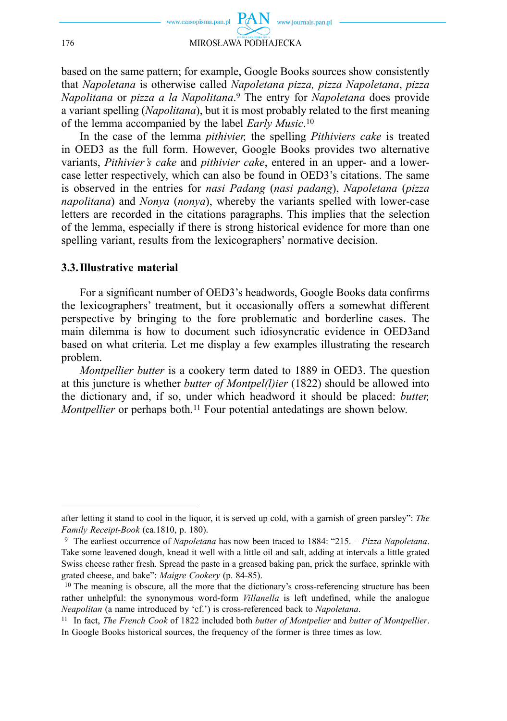

based on the same pattern; for example, Google Books sources show consistently that *Napoletana* is otherwise called *Napoletana pizza, pizza Napoletana*, *pizza Napolitana* or *pizza a la Napolitana*.9 The entry for *Napoletana* does provide a variant spelling (*Napolitana*), but it is most probably related to the first meaning of the lemma accompanied by the label *Early Music*.10

In the case of the lemma *pithivier,* the spelling *Pithiviers cake* is treated in OED3 as the full form. However, Google Books provides two alternative variants, *Pithivier's cake* and *pithivier cake*, entered in an upper- and a lowercase letter respectively, which can also be found in OED3's citations. The same is observed in the entries for *nasi Padang* (*nasi padang*), *Napoletana* (*pizza napolitana*) and *Nonya* (*nonya*), whereby the variants spelled with lower-case letters are recorded in the citations paragraphs. This implies that the selection of the lemma, especially if there is strong historical evidence for more than one spelling variant, results from the lexicographers' normative decision.

#### **3.3. Illustrative material**

For a significant number of OED3's headwords, Google Books data confirms the lexicographers' treatment, but it occasionally offers a somewhat different perspective by bringing to the fore problematic and borderline cases. The main dilemma is how to document such idiosyncratic evidence in OED3and based on what criteria. Let me display a few examples illustrating the research problem.

*Montpellier butter* is a cookery term dated to 1889 in OED3. The question at this juncture is whether *butter of Montpel(l)ier* (1822) should be allowed into the dictionary and, if so, under which headword it should be placed: *butter, Montpellier* or perhaps both.<sup>11</sup> Four potential antedatings are shown below.

after letting it stand to cool in the liquor, it is served up cold, with a garnish of green parsley": *The Family Receipt-Book* (ca.1810, p. 180).<br><sup>9</sup> The earliest occurrence of *Napoletana* has now been traced to 1884: "215. *− Pizza Napoletana*.

Take some leavened dough, knead it well with a little oil and salt, adding at intervals a little grated Swiss cheese rather fresh. Spread the paste in a greased baking pan, prick the surface, sprinkle with grated cheese, and bake": *Maigre Cookery* (p. 84-85).<br><sup>10</sup> The meaning is obscure, all the more that the dictionary's cross-referencing structure has been

rather unhelpful: the synonymous word-form *Villanella* is left undefined, while the analogue *Neapolitan* (a name introduced by 'cf.') is cross-referenced back to *Napoletana*.

<sup>11</sup> In fact, *The French Cook* of 1822 included both *butter of Montpelier* and *butter of Montpellier*. In Google Books historical sources, the frequency of the former is three times as low.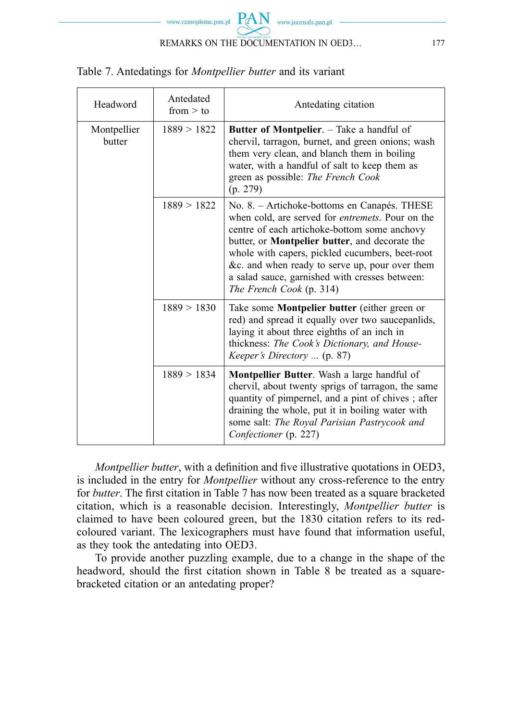

| Headword              | Antedated<br>from $>$ to | Antedating citation                                                                                                                                                                                                                                                                                                                                                                                   |
|-----------------------|--------------------------|-------------------------------------------------------------------------------------------------------------------------------------------------------------------------------------------------------------------------------------------------------------------------------------------------------------------------------------------------------------------------------------------------------|
| Montpellier<br>butter | 1889 > 1822              | <b>Butter of Montpelier.</b> – Take a handful of<br>chervil, tarragon, burnet, and green onions; wash<br>them very clean, and blanch them in boiling<br>water, with a handful of salt to keep them as<br>green as possible: The French Cook<br>(p. 279)                                                                                                                                               |
|                       | 1889 > 1822              | No. 8. – Artichoke-bottoms en Canapés. THESE<br>when cold, are served for <i>entremets</i> . Pour on the<br>centre of each artichoke-bottom some anchovy<br>butter, or <b>Montpelier butter</b> , and decorate the<br>whole with capers, pickled cucumbers, beet-root<br>&c. and when ready to serve up, pour over them<br>a salad sauce, garnished with cresses between:<br>The French Cook (p. 314) |
|                       | 1889 > 1830              | Take some <b>Montpelier butter</b> (either green or<br>red) and spread it equally over two saucepanlids,<br>laying it about three eighths of an inch in<br>thickness: The Cook's Dictionary, and House-<br>Keeper's Directory  (p. 87)                                                                                                                                                                |
|                       | 1889 > 1834              | <b>Montpellier Butter.</b> Wash a large handful of<br>chervil, about twenty sprigs of tarragon, the same<br>quantity of pimpernel, and a pint of chives; after<br>draining the whole, put it in boiling water with<br>some salt: The Royal Parisian Pastrycook and<br>Confectioner (p. 227)                                                                                                           |

Table 7. Antedatings for *Montpellier butter* and its variant

*Montpellier butter*, with a definition and five illustrative quotations in OED3, is included in the entry for *Montpellier* without any cross-reference to the entry for *butter*. The first citation in Table 7 has now been treated as a square bracketed citation, which is a reasonable decision. Interestingly, *Montpellier butter* is claimed to have been coloured green, but the 1830 citation refers to its redcoloured variant. The lexicographers must have found that information useful, as they took the antedating into OED3.

To provide another puzzling example, due to a change in the shape of the headword, should the first citation shown in Table 8 be treated as a squarebracketed citation or an antedating proper?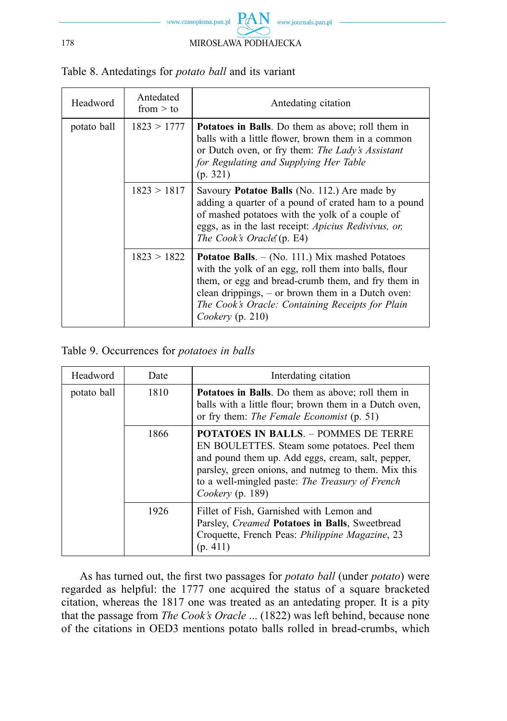

| Headword    | Antedated<br>from $>$ to | Antedating citation                                                                                                                                                                                                                                                                                     |
|-------------|--------------------------|---------------------------------------------------------------------------------------------------------------------------------------------------------------------------------------------------------------------------------------------------------------------------------------------------------|
| potato ball | 1823 > 1777              | <b>Potatoes in Balls</b> . Do them as above; roll them in<br>balls with a little flower, brown them in a common<br>or Dutch oven, or fry them: The Lady's Assistant<br>for Regulating and Supplying Her Table<br>(p. 321)                                                                               |
|             | 1823 > 1817              | Savoury Potatoe Balls (No. 112.) Are made by<br>adding a quarter of a pound of crated ham to a pound<br>of mashed potatoes with the yolk of a couple of<br>eggs, as in the last receipt: Apicius Redivivus, or,<br>The Cook's Oracle' (p. E4)                                                           |
|             | 1823 > 1822              | <b>Potatoe Balls.</b> $-$ (No. 111.) Mix mashed Potatoes<br>with the yolk of an egg, roll them into balls, flour<br>them, or egg and bread-crumb them, and fry them in<br>clean drippings, $-$ or brown them in a Dutch oven:<br>The Cook's Oracle: Containing Receipts for Plain<br>Cookery $(p. 210)$ |

Table 8. Antedatings for *potato ball* and its variant

Table 9. Occurrences for *potatoes in balls*

| Headword    | Date | Interdating citation                                                                                                                                                                                                                                                             |
|-------------|------|----------------------------------------------------------------------------------------------------------------------------------------------------------------------------------------------------------------------------------------------------------------------------------|
| potato ball | 1810 | <b>Potatoes in Balls</b> . Do them as above; roll them in<br>balls with a little flour; brown them in a Dutch oven,<br>or fry them: The Female Economist (p. 51)                                                                                                                 |
|             | 1866 | <b>POTATOES IN BALLS. - POMMES DE TERRE</b><br>EN BOULETTES. Steam some potatoes. Peel them<br>and pound them up. Add eggs, cream, salt, pepper,<br>parsley, green onions, and nutmeg to them. Mix this<br>to a well-mingled paste: The Treasury of French<br>Cookery $(p. 189)$ |
|             | 1926 | Fillet of Fish, Garnished with Lemon and<br>Parsley, Creamed Potatoes in Balls, Sweetbread<br>Croquette, French Peas: <i>Philippine Magazine</i> , 23<br>(p. 411)                                                                                                                |

As has turned out, the first two passages for *potato ball* (under *potato*) were regarded as helpful: the 1777 one acquired the status of a square bracketed citation, whereas the 1817 one was treated as an antedating proper. It is a pity that the passage from *The Cook's Oracle* ... (1822) was left behind, because none of the citations in OED3 mentions potato balls rolled in bread-crumbs, which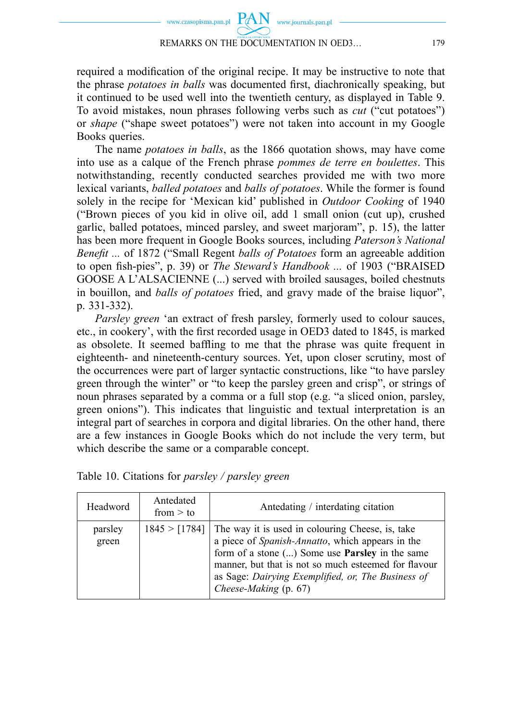# REMARKS ON THE DOCUMENTATION IN OED3… 179

required a modification of the original recipe. It may be instructive to note that the phrase *potatoes in balls* was documented first, diachronically speaking, but it continued to be used well into the twentieth century, as displayed in Table 9. To avoid mistakes, noun phrases following verbs such as *cut* ("cut potatoes") or *shape* ("shape sweet potatoes") were not taken into account in my Google Books queries.

The name *potatoes in balls*, as the 1866 quotation shows, may have come into use as a calque of the French phrase *pommes de terre en boulettes*. This notwithstanding, recently conducted searches provided me with two more lexical variants, *balled potatoes* and *balls of potatoes*. While the former is found solely in the recipe for 'Mexican kid' published in *Outdoor Cooking* of 1940 ("Brown pieces of you kid in olive oil, add 1 small onion (cut up), crushed garlic, balled potatoes, minced parsley, and sweet marjoram", p. 15), the latter has been more frequent in Google Books sources, including *Paterson's National Benefit ...* of 1872 ("Small Regent *balls of Potatoes* form an agreeable addition to open fish-pies", p. 39) or *The Steward's Handbook* ... of 1903 ("BRAISED GOOSE A L'ALSACIENNE (...) served with broiled sausages, boiled chestnuts in bouillon, and *balls of potatoes* fried, and gravy made of the braise liquor", p. 331-332).

*Parsley green* 'an extract of fresh parsley, formerly used to colour sauces, etc., in cookery', with the first recorded usage in OED3 dated to 1845, is marked as obsolete. It seemed baffling to me that the phrase was quite frequent in eighteenth- and nineteenth-century sources. Yet, upon closer scrutiny, most of the occurrences were part of larger syntactic constructions, like "to have parsley green through the winter" or "to keep the parsley green and crisp", or strings of noun phrases separated by a comma or a full stop (e.g. "a sliced onion, parsley, green onions"). This indicates that linguistic and textual interpretation is an integral part of searches in corpora and digital libraries. On the other hand, there are a few instances in Google Books which do not include the very term, but which describe the same or a comparable concept.

| Headword         | Antedated<br>from $>$ to | Antedating / interdating citation                                                                                                                                                                                                                                                                     |
|------------------|--------------------------|-------------------------------------------------------------------------------------------------------------------------------------------------------------------------------------------------------------------------------------------------------------------------------------------------------|
| parsley<br>green | 1845 > [1784]            | The way it is used in colouring Cheese, is, take<br>a piece of Spanish-Annatto, which appears in the<br>form of a stone () Some use <b>Parsley</b> in the same<br>manner, but that is not so much esteemed for flavour<br>as Sage: Dairying Exemplified, or, The Business of<br>Cheese-Making (p. 67) |

| Table 10. Citations for <i>parsley</i> / <i>parsley green</i> |  |  |  |  |  |  |  |
|---------------------------------------------------------------|--|--|--|--|--|--|--|
|---------------------------------------------------------------|--|--|--|--|--|--|--|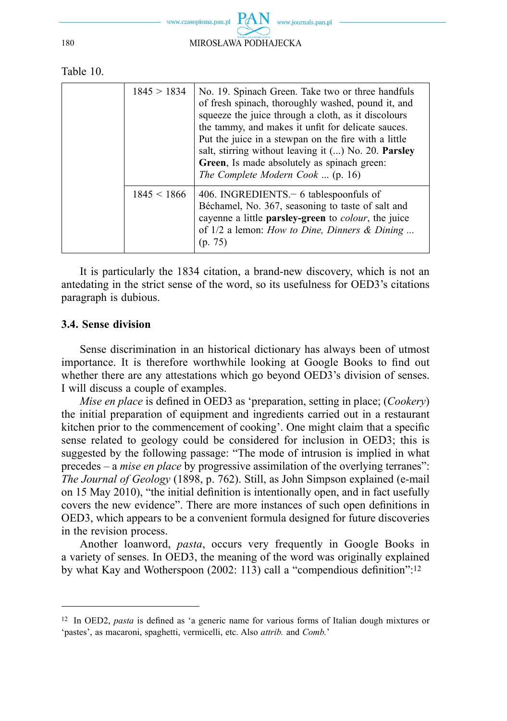

Table 10.

| 1845 > 1834     | No. 19. Spinach Green. Take two or three handfuls<br>of fresh spinach, thoroughly washed, pound it, and<br>squeeze the juice through a cloth, as it discolours<br>the tammy, and makes it unfit for delicate sauces.<br>Put the juice in a stewpan on the fire with a little<br>salt, stirring without leaving it () No. 20. Parsley<br>Green, Is made absolutely as spinach green:<br>The Complete Modern Cook  (p. 16) |
|-----------------|--------------------------------------------------------------------------------------------------------------------------------------------------------------------------------------------------------------------------------------------------------------------------------------------------------------------------------------------------------------------------------------------------------------------------|
| $1845 \le 1866$ | 406. INGREDIENTS $-6$ tables poonfuls of<br>Béchamel, No. 367, seasoning to taste of salt and<br>cayenne a little parsley-green to colour, the juice<br>of $1/2$ a lemon: <i>How to Dine, Dinners &amp; Dining</i><br>(p. 75)                                                                                                                                                                                            |

It is particularly the 1834 citation, a brand-new discovery, which is not an antedating in the strict sense of the word, so its usefulness for OED3's citations paragraph is dubious.

#### **3.4. Sense division**

Sense discrimination in an historical dictionary has always been of utmost importance. It is therefore worthwhile looking at Google Books to find out whether there are any attestations which go beyond OED3's division of senses. I will discuss a couple of examples.

*Mise en place* is defined in OED3 as 'preparation, setting in place; (*Cookery*) the initial preparation of equipment and ingredients carried out in a restaurant kitchen prior to the commencement of cooking'. One might claim that a specific sense related to geology could be considered for inclusion in OED3; this is suggested by the following passage: "The mode of intrusion is implied in what precedes ‒ a *mise en place* by progressive assimilation of the overlying terranes": *The Journal of Geology* (1898, p. 762). Still, as John Simpson explained (e-mail on 15 May 2010), "the initial definition is intentionally open, and in fact usefully covers the new evidence". There are more instances of such open definitions in OED3, which appears to be a convenient formula designed for future discoveries in the revision process.

Another loanword, *pasta*, occurs very frequently in Google Books in a variety of senses. In OED3, the meaning of the word was originally explained by what Kay and Wotherspoon (2002: 113) call a "compendious definition":<sup>12</sup>

<sup>&</sup>lt;sup>12</sup> In OED2, *pasta* is defined as 'a generic name for various forms of Italian dough mixtures or 'pastes', as macaroni, spaghetti, vermicelli, etc. Also *attrib.* and *Comb.*'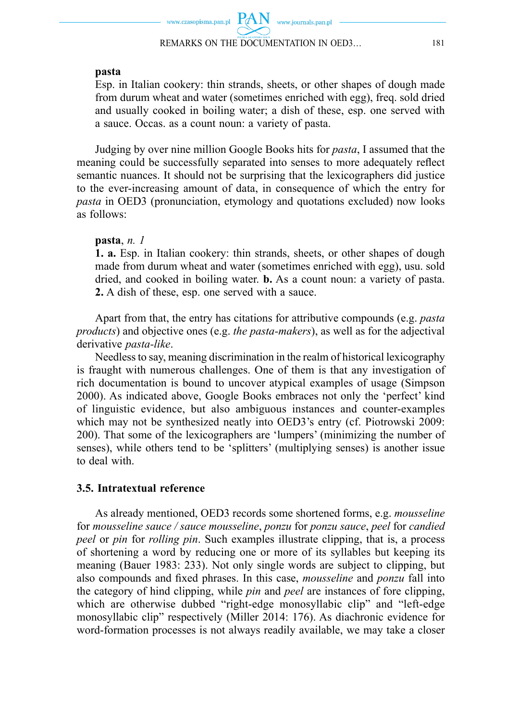#### **pasta**

 Esp. in Italian cookery: thin strands, sheets, or other shapes of dough made from durum wheat and water (sometimes enriched with egg), freq. sold dried and usually cooked in boiling water; a dish of these, esp. one served with a sauce. Occas. as a count noun: a variety of pasta.

Judging by over nine million Google Books hits for *pasta*, I assumed that the meaning could be successfully separated into senses to more adequately reflect semantic nuances. It should not be surprising that the lexicographers did justice to the ever-increasing amount of data, in consequence of which the entry for *pasta* in OED3 (pronunciation, etymology and quotations excluded) now looks as follows:

### **pasta**, *n. 1*

 **1. a.** Esp. in Italian cookery: thin strands, sheets, or other shapes of dough made from durum wheat and water (sometimes enriched with egg), usu. sold dried, and cooked in boiling water. **b.** As a count noun: a variety of pasta. **2.** A dish of these, esp. one served with a sauce.

Apart from that, the entry has citations for attributive compounds (e.g. *pasta products*) and objective ones (e.g. *the pasta-makers*), as well as for the adjectival derivative *pasta-like*.

Needless to say, meaning discrimination in the realm of historical lexicography is fraught with numerous challenges. One of them is that any investigation of rich documentation is bound to uncover atypical examples of usage (Simpson 2000). As indicated above, Google Books embraces not only the 'perfect' kind of linguistic evidence, but also ambiguous instances and counter-examples which may not be synthesized neatly into OED3's entry (cf. Piotrowski 2009: 200). That some of the lexicographers are 'lumpers' (minimizing the number of senses), while others tend to be 'splitters' (multiplying senses) is another issue to deal with.

### **3.5. Intratextual reference**

As already mentioned, OED3 records some shortened forms, e.g. *mousseline*  for *mousseline sauce / sauce mousseline*, *ponzu* for *ponzu sauce*, *peel* for *candied peel* or *pin* for *rolling pin*. Such examples illustrate clipping, that is, a process of shortening a word by reducing one or more of its syllables but keeping its meaning (Bauer 1983: 233). Not only single words are subject to clipping, but also compounds and fixed phrases. In this case, *mousseline* and *ponzu* fall into the category of hind clipping, while *pin* and *peel* are instances of fore clipping, which are otherwise dubbed "right-edge monosyllabic clip" and "left-edge monosyllabic clip" respectively (Miller 2014: 176). As diachronic evidence for word-formation processes is not always readily available, we may take a closer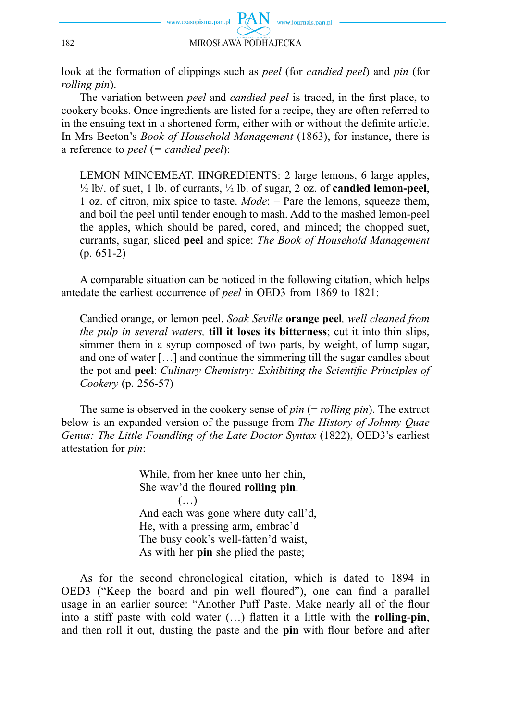

look at the formation of clippings such as *peel* (for *candied peel*) and *pin* (for *rolling pin*).

The variation between *peel* and *candied peel* is traced, in the first place, to cookery books. Once ingredients are listed for a recipe, they are often referred to in the ensuing text in a shortened form, either with or without the definite article. In Mrs Beeton's *Book of Household Management* (1863), for instance, there is a reference to *peel* (*= candied peel*):

 LEMON MINCEMEAT. IINGREDIENTS: 2 large lemons, 6 large apples, ½ lb/. of suet, 1 lb. of currants, ½ lb. of sugar, 2 oz. of **candied lemon-peel**, 1 oz. of citron, mix spice to taste. *Mode*: ‒ Pare the lemons, squeeze them, and boil the peel until tender enough to mash. Add to the mashed lemon-peel the apples, which should be pared, cored, and minced; the chopped suet, currants, sugar, sliced **peel** and spice: *The Book of Household Management*  $(p. 651-2)$ 

A comparable situation can be noticed in the following citation, which helps antedate the earliest occurrence of *peel* in OED3 from 1869 to 1821:

 Candied orange, or lemon peel. *Soak Seville* **orange peel***, well cleaned from the pulp in several waters,* **till it loses its bitterness**; cut it into thin slips, simmer them in a syrup composed of two parts, by weight, of lump sugar, and one of water […] and continue the simmering till the sugar candles about the pot and **peel**: *Culinary Chemistry: Exhibiting the Scientific Principles of Cookery* (p. 256-57)

The same is observed in the cookery sense of *pin* (= *rolling pin*). The extract below is an expanded version of the passage from *The History of Johnny Quae Genus: The Little Foundling of the Late Doctor Syntax* (1822), OED3's earliest attestation for *pin*:

> While, from her knee unto her chin, She way'd the floured **rolling pin**. (…) And each was gone where duty call'd, He, with a pressing arm, embrac'd The busy cook's well-fatten'd waist, As with her **pin** she plied the paste;

As for the second chronological citation, which is dated to 1894 in OED3 ("Keep the board and pin well floured"), one can find a parallel usage in an earlier source: "Another Puff Paste. Make nearly all of the flour into a stiff paste with cold water  $(...)$  flatten it a little with the **rolling-pin**, and then roll it out, dusting the paste and the **pin** with flour before and after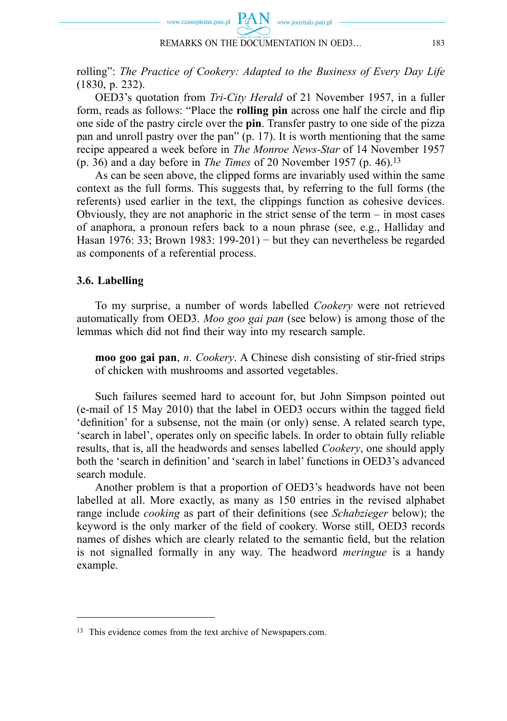

rolling": *The Practice of Cookery: Adapted to the Business of Every Day Life* (1830, p. 232).

OED3's quotation from *Tri-City Herald* of 21 November 1957, in a fuller form, reads as follows: "Place the **rolling pin** across one half the circle and flip one side of the pastry circle over the **pin**. Transfer pastry to one side of the pizza pan and unroll pastry over the pan" (p. 17). It is worth mentioning that the same recipe appeared a week before in *The Monroe News-Star* of 14 November 1957 (p. 36) and a day before in *The Times* of 20 November 1957 (p. 46).13

As can be seen above, the clipped forms are invariably used within the same context as the full forms. This suggests that, by referring to the full forms (the referents) used earlier in the text, the clippings function as cohesive devices. Obviously, they are not anaphoric in the strict sense of the term – in most cases of anaphora, a pronoun refers back to a noun phrase (see, e.g., Halliday and Hasan 1976: 33; Brown 1983: 199-201) − but they can nevertheless be regarded as components of a referential process.

### **3.6. Labelling**

To my surprise, a number of words labelled *Cookery* were not retrieved automatically from OED3. *Moo goo gai pan* (see below) is among those of the lemmas which did not find their way into my research sample.

 **moo goo gai pan**, *n*. *Cookery*. A Chinese dish consisting of stir-fried strips of chicken with mushrooms and assorted vegetables.

Such failures seemed hard to account for, but John Simpson pointed out (e-mail of 15 May 2010) that the label in OED3 occurs within the tagged field 'definition' for a subsense, not the main (or only) sense. A related search type, 'search in label', operates only on specific labels. In order to obtain fully reliable results, that is, all the headwords and senses labelled *Cookery*, one should apply both the 'search in definition' and 'search in label' functions in OED3's advanced search module.

Another problem is that a proportion of OED3's headwords have not been labelled at all. More exactly, as many as 150 entries in the revised alphabet range include *cooking* as part of their definitions (see *Schabzieger* below); the keyword is the only marker of the field of cookery. Worse still, OED3 records names of dishes which are clearly related to the semantic field, but the relation is not signalled formally in any way. The headword *meringue* is a handy example.

<sup>13</sup> This evidence comes from the text archive of Newspapers.com.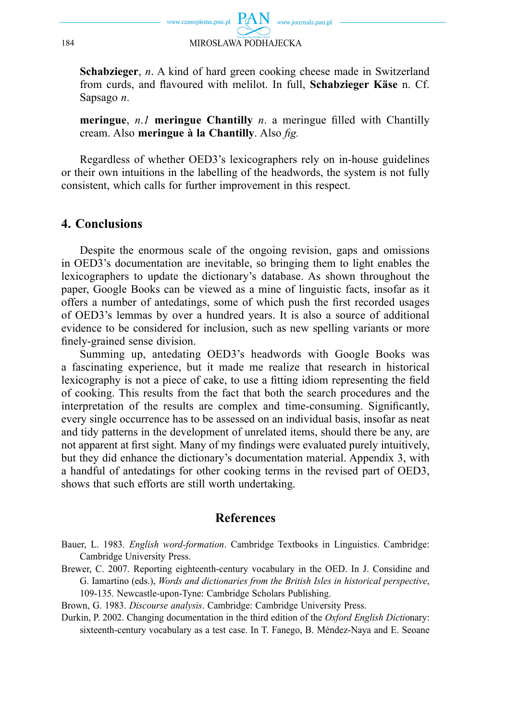

 **Schabzieger**, *n*. A kind of hard green cooking cheese made in Switzerland from curds, and flavoured with melilot. In full, **Schabzieger Käse** n. Cf. Sapsago *n*.

**meringue**,  $n.I$  **meringue** Chantilly  $n.$  a meringue filled with Chantilly cream. Also **meringue à la Chantilly**. Also *fig.* 

Regardless of whether OED3's lexicographers rely on in-house guidelines or their own intuitions in the labelling of the headwords, the system is not fully consistent, which calls for further improvement in this respect.

## **4. Conclusions**

Despite the enormous scale of the ongoing revision, gaps and omissions in OED3's documentation are inevitable, so bringing them to light enables the lexicographers to update the dictionary's database. As shown throughout the paper, Google Books can be viewed as a mine of linguistic facts, insofar as it offers a number of antedatings, some of which push the first recorded usages of OED3's lemmas by over a hundred years. It is also a source of additional evidence to be considered for inclusion, such as new spelling variants or more finely-grained sense division.

Summing up, antedating OED3's headwords with Google Books was a fascinating experience, but it made me realize that research in historical lexicography is not a piece of cake, to use a fitting idiom representing the field of cooking. This results from the fact that both the search procedures and the interpretation of the results are complex and time-consuming. Significantly, every single occurrence has to be assessed on an individual basis, insofar as neat and tidy patterns in the development of unrelated items, should there be any, are not apparent at first sight. Many of my findings were evaluated purely intuitively, but they did enhance the dictionary's documentation material. Appendix 3, with a handful of antedatings for other cooking terms in the revised part of OED3, shows that such efforts are still worth undertaking.

## **References**

- Bauer, L. 1983*. English word-formation*. Cambridge Textbooks in Linguistics. Cambridge: Cambridge University Press.
- Brewer, C. 2007. Reporting eighteenth-century vocabulary in the OED. In J. Considine and G. Iamartino (eds.), *Words and dictionaries from the British Isles in historical perspective*, 109-135. Newcastle-upon-Tyne: Cambridge Scholars Publishing.
- Brown, G. 1983. *Discourse analysis*. Cambridge: Cambridge University Press.
- Durkin, P. 2002. Changing documentation in the third edition of the *Oxford English Dicti*onary: sixteenth-century vocabulary as a test case. In T. Fanego, B. Méndez-Naya and E. Seoane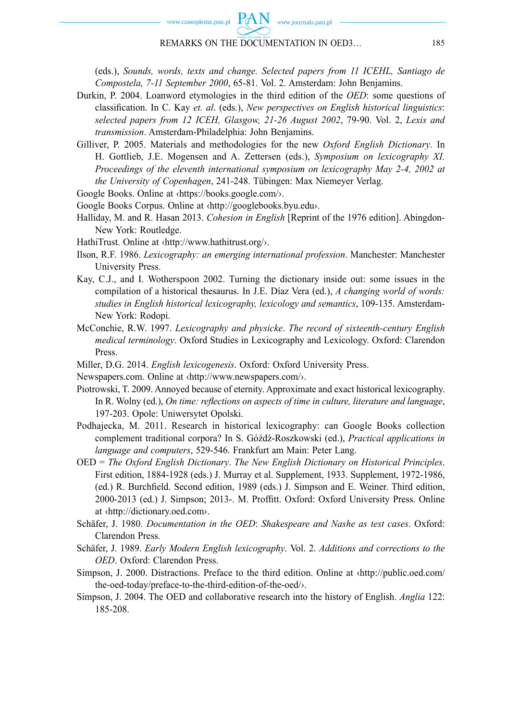

#### REMARKS ON THE DOCUMENTATION IN OED3… 185

(eds.), *Sounds, words, texts and change. Selected papers from 11 ICEHL, Santiago de Compostela, 7-11 September 2000*, 65-81. Vol. 2. Amsterdam: John Benjamins.

- Durkin, P. 2004. Loanword etymologies in the third edition of the *OED*: some questions of classifi cation. In C. Kay *et. al*. (eds.), *New perspectives on English historical linguistics*: *selected papers from 12 ICEH, Glasgow, 21-26 August 2002*, 79-90. Vol. 2, *Lexis and transmission*. Amsterdam-Philadelphia: John Benjamins.
- Gilliver, P. 2005. Materials and methodologies for the new *Oxford English Dictionary*. In H. Gottlieb, J.E. Mogensen and A. Zettersen (eds.), *Symposium on lexicography XI. Proceedings of the eleventh international symposium on lexicography May 2-4, 2002 at the University of Copenhagen*, 241-248. Tübingen: Max Niemeyer Verlag.

Google Books. Online at ‹https://books.google.com/›.

- Google Books Corpus. Online at ‹http://googlebooks.byu.edu›.
- Halliday, M. and R. Hasan 2013. *Cohesion in English* [Reprint of the 1976 edition]. Abingdon-New York: Routledge.
- HathiTrust. Online at ‹http://www.hathitrust.org/›.
- Ilson, R.F. 1986. *Lexicography: an emerging international profession*. Manchester: Manchester University Press.
- Kay, C.J., and I. Wotherspoon 2002. Turning the dictionary inside out: some issues in the compilation of a historical thesaurus. In J.E. Díaz Vera (ed.), *A changing world of words: studies in English historical lexicography, lexicology and semantics*, 109-135. Amsterdam-New York: Rodopi.
- McConchie, R.W. 1997. *Lexicography and physicke*. *The record of sixteenth-century English medical terminology*. Oxford Studies in Lexicography and Lexicology. Oxford: Clarendon Press.
- Miller, D.G. 2014. *English lexicogenesis*. Oxford: Oxford University Press.
- Newspapers.com. Online at ‹http://www.newspapers.com/›.
- Piotrowski, T. 2009. Annoyed because of eternity. Approximate and exact historical lexicography. In R. Wolny (ed.), *On time: reflections on aspects of time in culture, literature and language*, 197-203. Opole: Uniwersytet Opolski.
- Podhajecka, M. 2011. Research in historical lexicography: can Google Books collection complement traditional corpora? In S. Góźdź-Roszkowski (ed.), *Practical applications in language and computers*, 529-546. Frankfurt am Main: Peter Lang.
- OED = *The Oxford English Dictionary*. *The New English Dictionary on Historical Principles*. First edition, 1884-1928 (eds.) J. Murray et al. Supplement, 1933. Supplement, 1972-1986, (ed.) R. Burchfield. Second edition, 1989 (eds.) J. Simpson and E. Weiner. Third edition, 2000-2013 (ed.) J. Simpson; 2013-. M. Proffitt. Oxford: Oxford University Press. Online at ‹http://dictionary.oed.com›.
- Schäfer, J. 1980. *Documentation in the OED*: *Shakespeare and Nashe as test cases*. Oxford: Clarendon Press.
- Schäfer, J. 1989. *Early Modern English lexicography*. Vol. 2. *Additions and corrections to the OED*. Oxford: Clarendon Press.
- Simpson, J. 2000. Distractions. Preface to the third edition. Online at ‹http://public.oed.com/ the-oed-today/preface-to-the-third-edition-of-the-oed/›.
- Simpson, J. 2004. The OED and collaborative research into the history of English. *Anglia* 122: 185-208.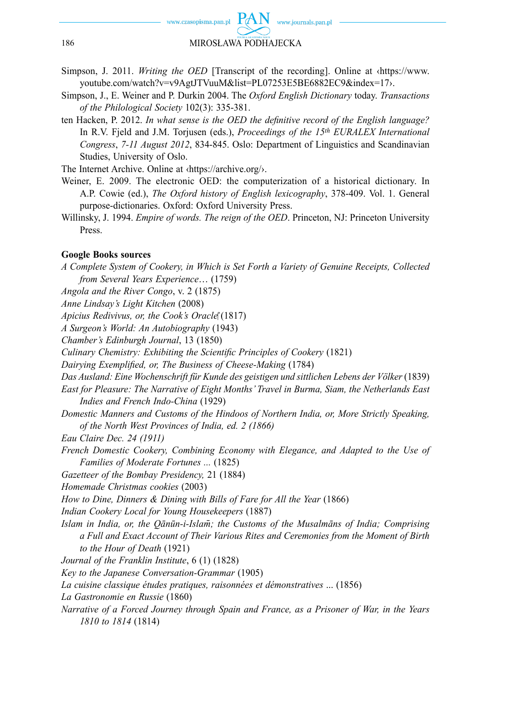

- Simpson, J. 2011. *Writing the OED* [Transcript of the recording]. Online at ‹https://www. youtube.com/watch?v=v9AgtJTVuuM&list=PL07253E5BE6882EC9&index=17›.
- Simpson, J., E. Weiner and P. Durkin 2004. The *Oxford English Dictionary* today. *Transactions of the Philological Society* 102(3): 335-381.
- ten Hacken, P. 2012. *In what sense is the OED the definitive record of the English language?* In R.V. Fjeld and J.M. Torjusen (eds.), *Proceedings of the 15th EURALEX International Congress*, *7-11 August 2012*, 834-845. Oslo: Department of Linguistics and Scandinavian Studies, University of Oslo.
- The Internet Archive. Online at ‹https://archive.org/›.
- Weiner, E. 2009. The electronic OED: the computerization of a historical dictionary. In A.P. Cowie (ed.), *The Oxford history of English lexicography*, 378-409. Vol. 1. General purpose-dictionaries. Oxford: Oxford University Press.
- Willinsky, J. 1994. *Empire of words. The reign of the OED*. Princeton, NJ: Princeton University Press.

#### **Google Books sources**

*A Complete System of Cookery, in Which is Set Forth a Variety of Genuine Receipts, Collected from Several Years Experience*… (1759) *Angola and the River Congo*, v. 2 (1875) *Anne Lindsay's Light Kitchen* (2008) *Apicius Redivivus, or, the Cook's Oracle* (1817) *A Surgeon's World: An Autobiography* (1943) *Chamber's Edinburgh Journal*, 13 (1850) *Culinary Chemistry: Exhibiting the Scientific Principles of Cookery* (1821) *Dairying Exemplified, or, The Business of Cheese-Making* (1784) *Das Ausland: Eine Wochenschrift für Kunde des geistigen und sittlichen Lebens der Völker* (1839) *East for Pleasure: The Narrative of Eight Months' Travel in Burma, Siam, the Netherlands East Indies and French Indo-China* (1929) *Domestic Manners and Customs of the Hindoos of Northern India, or, More Strictly Speaking, of the North West Provinces of India, ed. 2 (1866) Eau Claire Dec. 24 (1911) French Domestic Cookery, Combining Economy with Elegance, and Adapted to the Use of Families of Moderate Fortunes ...* (1825) *Gazetteer of the Bombay Presidency,* 21 (1884) *Homemade Christmas cookies* (2003) *How to Dine, Dinners & Dining with Bills of Fare for All the Year (1866) Indian Cookery Local for Young Housekeepers* (1887) *Islam in India, or, the Qānūn-i-Islam̄; the Customs of the Musalmāns of India; Comprising a Full and Exact Account of Their Various Rites and Ceremonies from the Moment of Birth to the Hour of Death* (1921) *Journal of the Franklin Institute*, 6 (1) (1828) *Key to the Japanese Conversation-Grammar* (1905) *La cuisine classique études pratiques, raisonnées et démonstratives* ... (1856) *La Gastronomie en Russie* (1860) *Narrative of a Forced Journey through Spain and France, as a Prisoner of War, in the Years 1810 to 1814* (1814)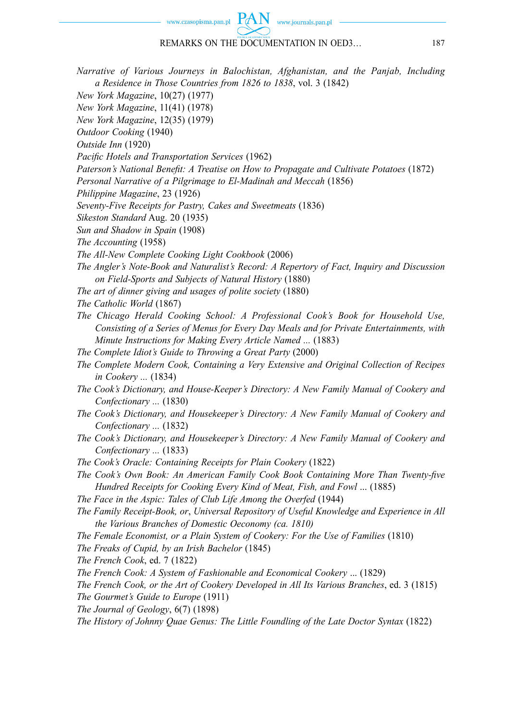#### www.czasopisma.pan.pl

#### REMARKS ON THE DOCUMENTATION IN OED3… 187

www.journals.pan.pl

*Narrative of Various Journeys in Balochistan, Afghanistan, and the Panjab, Including a Residence in Those Countries from 1826 to 1838*, vol. 3 (1842)

*New York Magazine*, 10(27) (1977)

*New York Magazine*, 11(41) (1978)

*New York Magazine*, 12(35) (1979)

*Outdoor Cooking* (1940)

*Outside Inn* (1920)

Pacific Hotels and Transportation Services (1962)

*Paterson's National Benefit: A Treatise on How to Propagate and Cultivate Potatoes* (1872)

*Personal Narrative of a Pilgrimage to El-Madinah and Meccah* (1856)

*Philippine Magazine*, 23 (1926)

*Seventy-Five Receipts for Pastry, Cakes and Sweetmeats* (1836)

*Sikeston Standard* Aug. 20 (1935)

*Sun and Shadow in Spain* (1908)

*The Accounting* (1958)

*The All-New Complete Cooking Light Cookbook* (2006)

- *The Angler's Note-Book and Naturalist's Record: A Repertory of Fact, Inquiry and Discussion on Field-Sports and Subjects of Natural History* (1880)
- *The art of dinner giving and usages of polite society* (1880)
- *The Catholic World* (1867)
- *The Chicago Herald Cooking School: A Professional Cook's Book for Household Use, Consisting of a Series of Menus for Every Day Meals and for Private Entertainments, with Minute Instructions for Making Every Article Named ...* (1883)
- *The Complete Idiot's Guide to Throwing a Great Party* (2000)
- *The Complete Modern Cook, Containing a Very Extensive and Original Collection of Recipes in Cookery ...* (1834)
- *The Cook's Dictionary, and House-Keeper's Directory: A New Family Manual of Cookery and Confectionary ...* (1830)
- *The Cook's Dictionary, and Housekeeper's Directory: A New Family Manual of Cookery and Confectionary ...* (1832)
- *The Cook's Dictionary, and Housekeeper's Directory: A New Family Manual of Cookery and Confectionary ...* (1833)
- *The Cook's Oracle: Containing Receipts for Plain Cookery* (1822)
- *The Cook's Own Book: An American Family Cook Book Containing More Than Twenty-five Hundred Receipts for Cooking Every Kind of Meat, Fish, and Fowl* ... (1885)
- *The Face in the Aspic: Tales of Club Life Among the Overfed* (1944)
- *The Family Receipt-Book, or*, *Universal Repository of Useful Knowledge and Experience in All the Various Branches of Domestic Oeconomy (ca. 1810)*
- *The Female Economist, or a Plain System of Cookery: For the Use of Families* (1810)

*The Freaks of Cupid, by an Irish Bachelor* (1845)

*The French Cook*, ed. 7 (1822)

*The French Cook: A System of Fashionable and Economical Cookery* ... (1829)

*The French Cook, or the Art of Cookery Developed in All Its Various Branches*, ed. 3 (1815)

*The Gourmet's Guide to Europe* (1911)

*The Journal of Geology*, 6(7) (1898)

*The History of Johnny Quae Genus: The Little Foundling of the Late Doctor Syntax* (1822)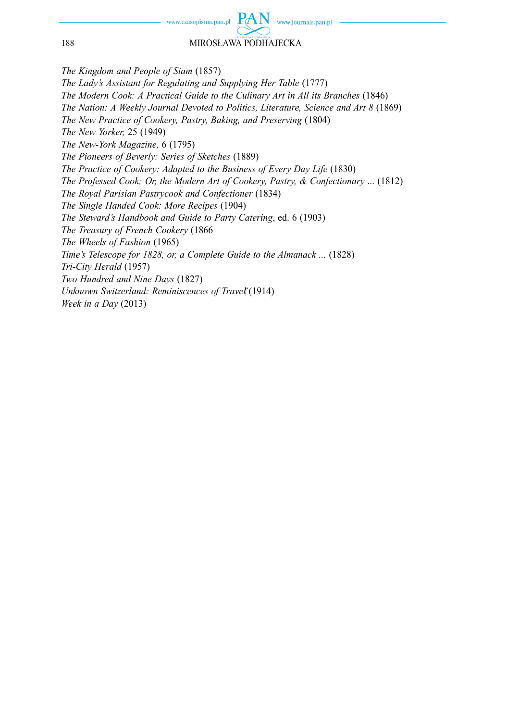www.journals.pan.pl

188 MIROSŁAWA PODHAJECKA

*The Kingdom and People of Siam* (1857) *The Lady's Assistant for Regulating and Supplying Her Table* (1777) *The Modern Cook: A Practical Guide to the Culinary Art in All its Branches* (1846) *The Nation: A Weekly Journal Devoted to Politics, Literature, Science and Art 8* (1869) *The New Practice of Cookery, Pastry, Baking, and Preserving* (1804) *The New Yorker,* 25 (1949) *The New-York Magazine,* 6 (1795) *The Pioneers of Beverly: Series of Sketches* (1889) *The Practice of Cookery: Adapted to the Business of Every Day Life* (1830) *The Professed Cook; Or, the Modern Art of Cookery, Pastry, & Confectionary* ... (1812) *The Royal Parisian Pastrycook and Confectioner* (1834) *The Single Handed Cook: More Recipes* (1904) *The Steward's Handbook and Guide to Party Catering*, ed. 6 (1903) *The Treasury of French Cookery* (1866 *The Wheels of Fashion* (1965) *Time's Telescope for 1828, or, a Complete Guide to the Almanack ...* (1828) *Tri-City Herald* (1957) *Two Hundred and Nine Days* (1827) *Unknown Switzerland: Reminiscences of Travel*<sup>\*</sup>(1914) *Week in a Day* (2013)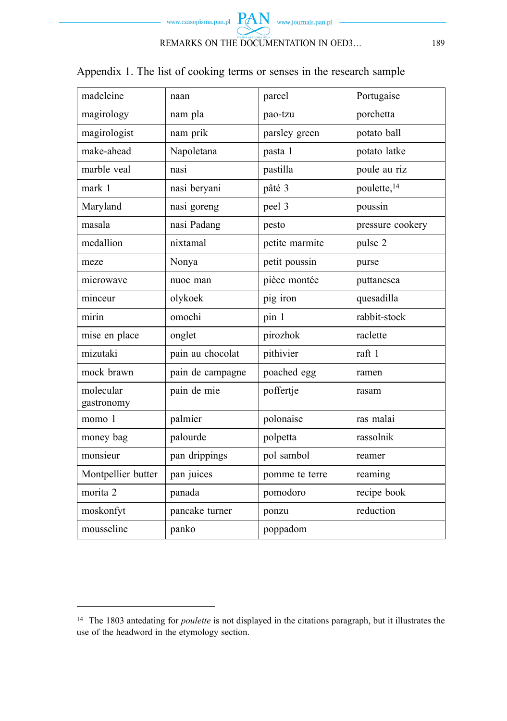

Appendix 1. The list of cooking terms or senses in the research sample

| madeleine               | naan             | parcel         | Portugaise              |
|-------------------------|------------------|----------------|-------------------------|
| magirology              | nam pla          | pao-tzu        | porchetta               |
| magirologist            | nam prik         | parsley green  | potato ball             |
| make-ahead              | Napoletana       | pasta 1        | potato latke            |
| marble veal             | nasi             | pastilla       | poule au riz            |
| mark 1                  | nasi beryani     | pâté 3         | poulette, <sup>14</sup> |
| Maryland                | nasi goreng      | peel 3         | poussin                 |
| masala                  | nasi Padang      | pesto          | pressure cookery        |
| medallion               | nixtamal         | petite marmite | pulse 2                 |
| meze                    | Nonya            | petit poussin  | purse                   |
| microwave               | nuoc man         | pièce montée   | puttanesca              |
| minceur                 | olykoek          | pig iron       | quesadilla              |
| mirin                   | omochi           | pin 1          | rabbit-stock            |
| mise en place           | onglet           | pirozhok       | raclette                |
| mizutaki                | pain au chocolat | pithivier      | raft 1                  |
| mock brawn              | pain de campagne | poached egg    | ramen                   |
| molecular<br>gastronomy | pain de mie      | poffertje      | rasam                   |
| momo 1                  | palmier          | polonaise      | ras malai               |
| money bag               | palourde         | polpetta       | rassolnik               |
| monsieur                | pan drippings    | pol sambol     | reamer                  |
| Montpellier butter      | pan juices       | pomme te terre | reaming                 |
| morita 2                | panada           | pomodoro       | recipe book             |
| moskonfyt               | pancake turner   | ponzu          | reduction               |
| mousseline              | panko            | poppadom       |                         |

<sup>14</sup> The 1803 antedating for *poulette* is not displayed in the citations paragraph, but it illustrates the use of the headword in the etymology section.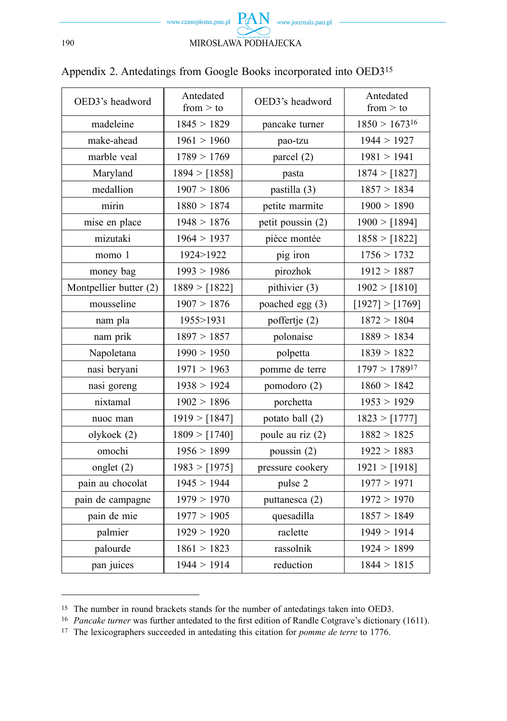

| OED3's headword        | Antedated<br>from $>$ to | OED3's headword   | Antedated<br>from $>$ to |
|------------------------|--------------------------|-------------------|--------------------------|
| madeleine              | 1845 > 1829              | pancake turner    | $1850 > 1673^{16}$       |
| make-ahead             | 1961 > 1960              | pao-tzu           | 1944 > 1927              |
| marble veal            | 1789 > 1769              | parcel (2)        | 1981 > 1941              |
| Maryland               | 1894 > [1858]            | pasta             | 1874 > [1827]            |
| medallion              | 1907 > 1806              | pastilla (3)      | 1857 > 1834              |
| mirin                  | 1880 > 1874              | petite marmite    | 1900 > 1890              |
| mise en place          | 1948 > 1876              | petit poussin (2) | 1900 > [1894]            |
| mizutaki               | 1964 > 1937              | pièce montée      | 1858 > [1822]            |
| momo 1                 | 1924>1922                | pig iron          | 1756 > 1732              |
| money bag              | 1993 > 1986              | pirozhok          | 1912 > 1887              |
| Montpellier butter (2) | 1889 > [1822]            | pithivier (3)     | 1902 > [1810]            |
| mousseline             | 1907 > 1876              | poached egg (3)   | [1927] > [1769]          |
| nam pla                | 1955>1931                | poffertje (2)     | 1872 > 1804              |
| nam prik               | 1897 > 1857              | polonaise         | 1889 > 1834              |
| Napoletana             | 1990 > 1950              | polpetta          | 1839 > 1822              |
| nasi beryani           | 1971 > 1963              | pomme de terre    | $1797 > 1789^{17}$       |
| nasi goreng            | 1938 > 1924              | pomodoro (2)      | 1860 > 1842              |
| nixtamal               | 1902 > 1896              | porchetta         | 1953 > 1929              |
| nuoc man               | 1919 > [1847]            | potato ball (2)   | 1823 > [1777]            |
| olykoek (2)            | 1809 > [1740]            | poule au riz (2)  | 1882 > 1825              |
| omochi                 | 1956 > 1899              | poussin $(2)$     | 1922 > 1883              |
| onglet $(2)$           | 1983 > [1975]            | pressure cookery  | 1921 > [1918]            |
| pain au chocolat       | 1945 > 1944              | pulse 2           | 1977 > 1971              |
| pain de campagne       | 1979 > 1970              | puttanesca (2)    | 1972 > 1970              |
| pain de mie            | 1977 > 1905              | quesadilla        | 1857 > 1849              |
| palmier                | 1929 > 1920              | raclette          | 1949 > 1914              |
| palourde               | 1861 > 1823              | rassolnik         | 1924 > 1899              |
| pan juices             | 1944 > 1914              | reduction         | 1844 > 1815              |

# Appendix 2. Antedatings from Google Books incorporated into OED315

<sup>15</sup> The number in round brackets stands for the number of antedatings taken into OED3.

<sup>&</sup>lt;sup>16</sup> *Pancake turner* was further antedated to the first edition of Randle Cotgrave's dictionary (1611).

<sup>17</sup> The lexicographers succeeded in antedating this citation for *pomme de terre* to 1776.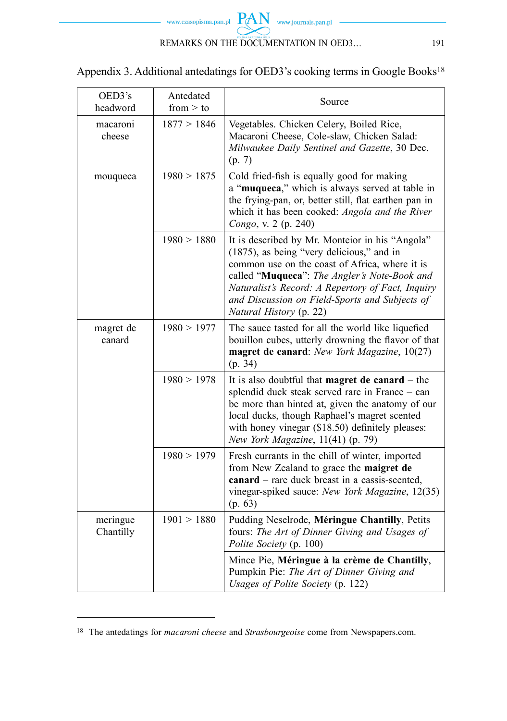

| Appendix 3. Additional antedatings for OED3's cooking terms in Google Books <sup>18</sup> |  |  |
|-------------------------------------------------------------------------------------------|--|--|
|                                                                                           |  |  |

| OED3's<br>headword    | Antedated<br>from $>$ to | Source                                                                                                                                                                                                                                                                                                                           |
|-----------------------|--------------------------|----------------------------------------------------------------------------------------------------------------------------------------------------------------------------------------------------------------------------------------------------------------------------------------------------------------------------------|
| macaroni<br>cheese    | 1877 > 1846              | Vegetables. Chicken Celery, Boiled Rice,<br>Macaroni Cheese, Cole-slaw, Chicken Salad:<br>Milwaukee Daily Sentinel and Gazette, 30 Dec.<br>(p. 7)                                                                                                                                                                                |
| mouqueca              | 1980 > 1875              | Cold fried-fish is equally good for making<br>a "muqueca," which is always served at table in<br>the frying-pan, or, better still, flat earthen pan in<br>which it has been cooked: Angola and the River<br>Congo, v. 2 (p. 240)                                                                                                 |
|                       | 1980 > 1880              | It is described by Mr. Monteior in his "Angola"<br>(1875), as being "very delicious," and in<br>common use on the coast of Africa, where it is<br>called "Muqueca": The Angler's Note-Book and<br>Naturalist's Record: A Repertory of Fact, Inquiry<br>and Discussion on Field-Sports and Subjects of<br>Natural History (p. 22) |
| magret de<br>canard   | 1980 > 1977              | The sauce tasted for all the world like liquefied<br>bouillon cubes, utterly drowning the flavor of that<br>magret de canard: New York Magazine, 10(27)<br>(p. 34)                                                                                                                                                               |
|                       | 1980 > 1978              | It is also doubtful that <b>magret de canard</b> $-$ the<br>splendid duck steak served rare in France - can<br>be more than hinted at, given the anatomy of our<br>local ducks, though Raphael's magret scented<br>with honey vinegar (\$18.50) definitely pleases:<br>New York Magazine, 11(41) (p. 79)                         |
|                       | 1980 > 1979              | Fresh currants in the chill of winter, imported<br>from New Zealand to grace the maigret de<br>canard – rare duck breast in a cassis-scented,<br>vinegar-spiked sauce: New York Magazine, 12(35)<br>(p. 63)                                                                                                                      |
| meringue<br>Chantilly | 1901 > 1880              | Pudding Neselrode, Méringue Chantilly, Petits<br>fours: The Art of Dinner Giving and Usages of<br>Polite Society (p. 100)                                                                                                                                                                                                        |
|                       |                          | Mince Pie, Méringue à la crème de Chantilly,<br>Pumpkin Pie: The Art of Dinner Giving and<br>Usages of Polite Society (p. 122)                                                                                                                                                                                                   |

<sup>18</sup> The antedatings for *macaroni cheese* and *Strasbourgeoise* come from Newspapers.com.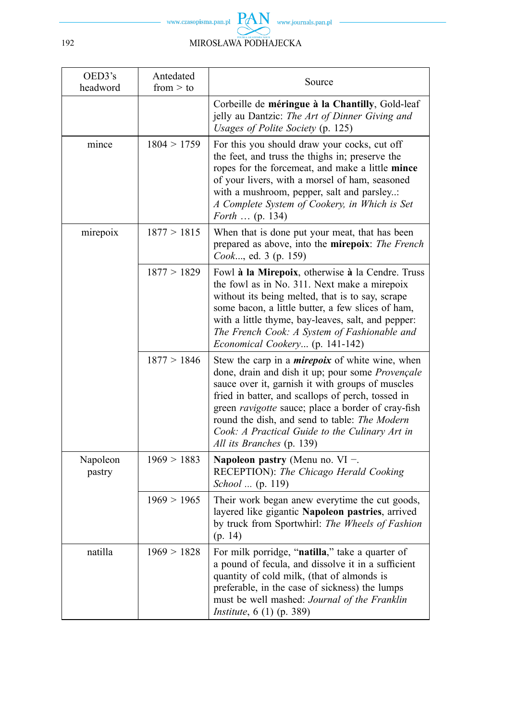

| OED3's<br>headword | Antedated<br>from $>$ to | Source                                                                                                                                                                                                                                                                                                                                                                                                    |
|--------------------|--------------------------|-----------------------------------------------------------------------------------------------------------------------------------------------------------------------------------------------------------------------------------------------------------------------------------------------------------------------------------------------------------------------------------------------------------|
|                    |                          | Corbeille de méringue à la Chantilly, Gold-leaf<br>jelly au Dantzic: The Art of Dinner Giving and<br>Usages of Polite Society (p. 125)                                                                                                                                                                                                                                                                    |
| mince              | 1804 > 1759              | For this you should draw your cocks, cut off<br>the feet, and truss the thighs in; preserve the<br>ropes for the forcemeat, and make a little mince<br>of your livers, with a morsel of ham, seasoned<br>with a mushroom, pepper, salt and parsley:<br>A Complete System of Cookery, in Which is Set<br><i>Forth</i> (p. 134)                                                                             |
| mirepoix           | 1877 > 1815              | When that is done put your meat, that has been<br>prepared as above, into the mirepoix: The French<br>Cook, ed. 3 (p. 159)                                                                                                                                                                                                                                                                                |
|                    | 1877 > 1829              | Fowl à la Mirepoix, otherwise à la Cendre. Truss<br>the fowl as in No. 311. Next make a mirepoix<br>without its being melted, that is to say, scrape<br>some bacon, a little butter, a few slices of ham,<br>with a little thyme, bay-leaves, salt, and pepper:<br>The French Cook: A System of Fashionable and<br>Economical Cookery (p. 141-142)                                                        |
|                    | 1877 > 1846              | Stew the carp in a <i>mirepoix</i> of white wine, when<br>done, drain and dish it up; pour some Provençale<br>sauce over it, garnish it with groups of muscles<br>fried in batter, and scallops of perch, tossed in<br>green ravigotte sauce; place a border of cray-fish<br>round the dish, and send to table: The Modern<br>Cook: A Practical Guide to the Culinary Art in<br>All its Branches (p. 139) |
| Napoleon<br>pastry | 1969 > 1883              | Napoleon pastry (Menu no. VI $-$ .<br>RECEPTION): The Chicago Herald Cooking<br>School  (p. 119)                                                                                                                                                                                                                                                                                                          |
|                    | 1969 > 1965              | Their work began anew everytime the cut goods,<br>layered like gigantic Napoleon pastries, arrived<br>by truck from Sportwhirl: The Wheels of Fashion<br>(p. 14)                                                                                                                                                                                                                                          |
| natilla            | 1969 > 1828              | For milk porridge, "natilla," take a quarter of<br>a pound of fecula, and dissolve it in a sufficient<br>quantity of cold milk, (that of almonds is<br>preferable, in the case of sickness) the lumps<br>must be well mashed: Journal of the Franklin<br><i>Institute</i> , 6 (1) (p. 389)                                                                                                                |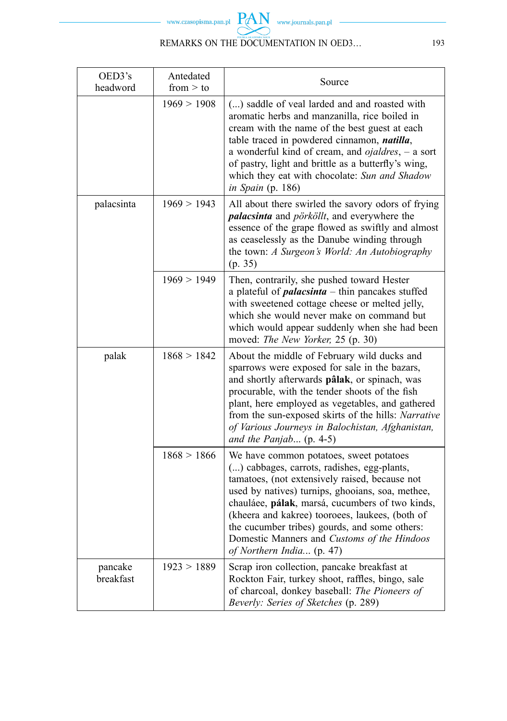

# REMARKS ON THE DOCUMENTATION IN OED3... 193

| OED3's<br>headword   | Antedated<br>from $>$ to | Source                                                                                                                                                                                                                                                                                                                                                                                                                          |
|----------------------|--------------------------|---------------------------------------------------------------------------------------------------------------------------------------------------------------------------------------------------------------------------------------------------------------------------------------------------------------------------------------------------------------------------------------------------------------------------------|
|                      | 1969 > 1908              | () saddle of veal larded and and roasted with<br>aromatic herbs and manzanilla, rice boiled in<br>cream with the name of the best guest at each<br>table traced in powdered cinnamon, natilla,<br>a wonderful kind of cream, and $ojaldres$ , $-$ a sort<br>of pastry, light and brittle as a butterfly's wing,<br>which they eat with chocolate: Sun and Shadow<br>in Spain (p. 186)                                           |
| palacsinta           | 1969 > 1943              | All about there swirled the savory odors of frying<br>palacsinta and pörköllt, and everywhere the<br>essence of the grape flowed as swiftly and almost<br>as ceaselessly as the Danube winding through<br>the town: A Surgeon's World: An Autobiography<br>(p. 35)                                                                                                                                                              |
|                      | 1969 > 1949              | Then, contrarily, she pushed toward Hester<br>a plateful of $palacsinta$ - thin pancakes stuffed<br>with sweetened cottage cheese or melted jelly,<br>which she would never make on command but<br>which would appear suddenly when she had been<br>moved: The New Yorker, 25 (p. 30)                                                                                                                                           |
| palak                | 1868 > 1842              | About the middle of February wild ducks and<br>sparrows were exposed for sale in the bazars,<br>and shortly afterwards pâlak, or spinach, was<br>procurable, with the tender shoots of the fish<br>plant, here employed as vegetables, and gathered<br>from the sun-exposed skirts of the hills: Narrative<br>of Various Journeys in Balochistan, Afghanistan,<br>and the Panjab $(p. 4-5)$                                     |
|                      | 1868 > 1866              | We have common potatoes, sweet potatoes<br>() cabbages, carrots, radishes, egg-plants,<br>tamatoes, (not extensively raised, because not<br>used by natives) turnips, ghooians, soa, methee,<br>chauláee, pálak, marsá, cucumbers of two kinds,<br>(kheera and kakree) tooroees, laukees, (both of<br>the cucumber tribes) gourds, and some others:<br>Domestic Manners and Customs of the Hindoos<br>of Northern India (p. 47) |
| pancake<br>breakfast | 1923 > 1889              | Scrap iron collection, pancake breakfast at<br>Rockton Fair, turkey shoot, raffles, bingo, sale<br>of charcoal, donkey baseball: The Pioneers of<br>Beverly: Series of Sketches (p. 289)                                                                                                                                                                                                                                        |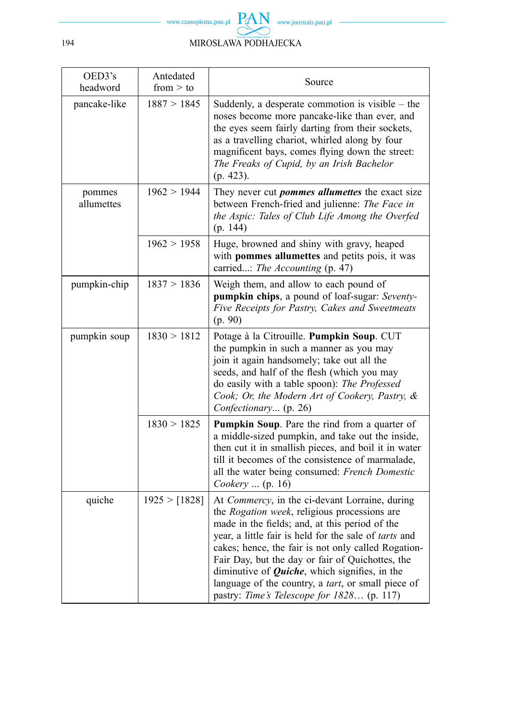

| OED3's<br>headword   | Antedated<br>from $>$ to | Source                                                                                                                                                                                                                                                                                                                                                                                                                                                                       |
|----------------------|--------------------------|------------------------------------------------------------------------------------------------------------------------------------------------------------------------------------------------------------------------------------------------------------------------------------------------------------------------------------------------------------------------------------------------------------------------------------------------------------------------------|
| pancake-like         | 1887 > 1845              | Suddenly, a desperate commotion is visible $-$ the<br>noses become more pancake-like than ever, and<br>the eyes seem fairly darting from their sockets,<br>as a travelling chariot, whirled along by four<br>magnificent bays, comes flying down the street:<br>The Freaks of Cupid, by an Irish Bachelor<br>$(p. 423)$ .                                                                                                                                                    |
| pommes<br>allumettes | 1962 > 1944              | They never cut <i>pommes allumettes</i> the exact size<br>between French-fried and julienne: The Face in<br>the Aspic: Tales of Club Life Among the Overfed<br>(p. 144)                                                                                                                                                                                                                                                                                                      |
|                      | 1962 > 1958              | Huge, browned and shiny with gravy, heaped<br>with pommes allumettes and petits pois, it was<br>carried: The Accounting (p. 47)                                                                                                                                                                                                                                                                                                                                              |
| pumpkin-chip         | 1837 > 1836              | Weigh them, and allow to each pound of<br>pumpkin chips, a pound of loaf-sugar: Seventy-<br>Five Receipts for Pastry, Cakes and Sweetmeats<br>(p. 90)                                                                                                                                                                                                                                                                                                                        |
| pumpkin soup         | 1830 > 1812              | Potage à la Citrouille. Pumpkin Soup. CUT<br>the pumpkin in such a manner as you may<br>join it again handsomely; take out all the<br>seeds, and half of the flesh (which you may<br>do easily with a table spoon): The Professed<br>Cook; Or, the Modern Art of Cookery, Pastry, &<br>Confectionary (p. 26)                                                                                                                                                                 |
|                      | 1830 > 1825              | Pumpkin Soup. Pare the rind from a quarter of<br>a middle-sized pumpkin, and take out the inside,<br>then cut it in smallish pieces, and boil it in water<br>till it becomes of the consistence of marmalade,<br>all the water being consumed: French Domestic<br>Cookery  (p. 16)                                                                                                                                                                                           |
| quiche               | 1925 > [1828]            | At Commercy, in the ci-devant Lorraine, during<br>the Rogation week, religious processions are<br>made in the fields; and, at this period of the<br>year, a little fair is held for the sale of tarts and<br>cakes; hence, the fair is not only called Rogation-<br>Fair Day, but the day or fair of Quichottes, the<br>diminutive of $Quiche$ , which signifies, in the<br>language of the country, a tart, or small piece of<br>pastry: Time's Telescope for 1828 (p. 117) |